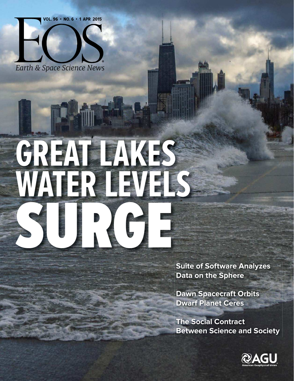**VOL. 96 · NO. 6 · 1 APR 2015** 



## **GREAT LAKES WATER LEVELS** SURGE

**Suite of Software Analyzes Data on the Sphere**

**Dawn Spacecraft Orbits Dwarf Planet Ceres**

**The Social Contract Between Science and Society**

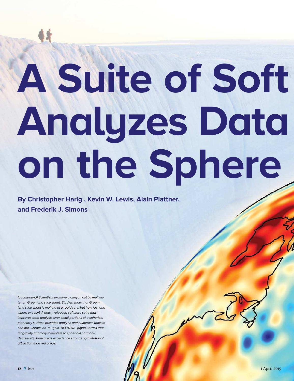# **A Suite of Soft Analyzes Data on the Sphere**

**By Christopher Harig , Kevin W. Lewis, Alain Plattner, and Frederik J. Simons**

(background) Scientists examine a canyon cut by meltwater on Greenland's ice sheet. Studies show that Greenland's ice sheet is melting at a rapid rate, but how fast and where exactly? A newly released software suite that improves data analysis over small portions of a spherical planetary surface provides analytic and numerical tools to find out. Credit: Ian Joughin, APL/UWA. (right) Earth's freeair gravity anomaly (complete to spherical harmonic degree 90). Blue areas experience stronger gravitational attraction than red areas.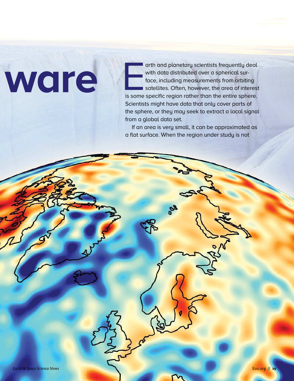erith and planetarity actentists frequentity deal<br>to co. Including measurements from orbiting<br>force in photoelectron and procedure content is concluding<br>to concluding measurements from orbiting<br>scientists might have data t arth and planetary scientists frequently deal with data distributed over a spherical surface, including measurements from orbiting satellites. Often, however, the area of interest is some specific region rather than the entire sphere. Scientists might have data that only cover parts of the sphere, or they may seek to extract a local signal from a global data set.

If an area is very small, it can be approximated as a flat surface. When the region under study is not

**ware**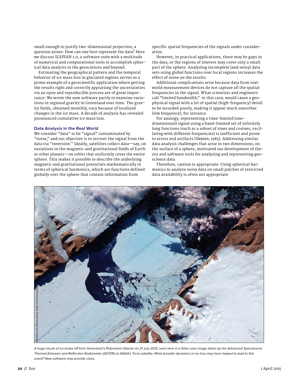small enough to justify two- dimensional projection, a question arises: How can one best represent the data? Here we discuss SLEPIAN 1.0, a software suite with a multitude of numerical and computational tools to accomplish spherical data analysis in the geosciences and beyond.

Estimating the geographical pattern and the temporal behavior of ice mass loss in glaciated regions serves as a prime example of a geoscientific application where getting the results right and correctly appraising the uncertainties via an open and reproducible process are of great importance. We wrote the new software partly to examine variations in regional gravity in Greenland over time. The gravity fields, obtained monthly, vary because of localized changes in the ice mass. A decade of analysis has revealed pronounced cumulative ice mass loss.

#### **Data Analysis in the Real World**

We consider "data" to be "signal" contaminated by "noise," and our objective is to recover the signal from the data via "inversion." Ideally, satellites collect data—say, on variations in the magnetic and gravitational fields of Earth or other planets—on orbits that uniformly cover the entire sphere. This makes it possible to describe the underlying magnetic and gravitational potentials mathematically in terms of spherical harmonics, which are functions defined globally over the sphere that contain information from

specific spatial frequencies of the signals under consideration.

However, in practical applications, there may be gaps in the data, or the regions of interest may cover only a small part of the sphere. Analyzing incomplete (and noisy) data sets using global functions over local regions increases the effect of noise on the results.

Additional complications arise because data from realworld measurement devices do not capture all the spatial frequencies in the signal. What scientists and engineers call "limited bandwidth," in this case, would cause a geophysical signal with a lot of spatial (high- frequency) detail to be recorded poorly, making it appear much smoother (low frequency), for instance.

For analogy, representing a time-limited (onedimensional) signal using a band-limited set of infinitely long functions (such as a subset of sines and cosines, oscillating with different frequencies) is inefficient and prone to errors and artifacts [*Slepian,* 1983]. Addressing similar data analysis challenges that arise in two dimensions, on the surface of a sphere, motivated our development of theory and software tools for analyzing and representing geoscience data.

Therefore, caution is appropriate: Using spherical harmonics to analyze noisy data on small patches of restricted data availability is often not appropriate.



A huge chunk of ice broke of from Greenland's Petermann Glacier on 21 July 2012, seen here in a false color image taken by the Advanced Spaceborne Thermal Emission and Relection Radiometer (ASTER) on NASA's Terra satellite. What broader dynamics in ice loss may have helped to lead to this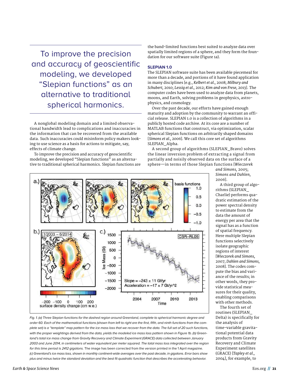To improve the precision and accuracy of geoscientific modeling, we developed "Slepian functions" as an alternative to traditional spherical harmonics.

A nonglobal modeling domain and a limited observational bandwidth lead to complications and inaccuracies in the information that can be recovered from the available data. Such inaccuracies could misinform policy makers looking to use science as a basis for actions to mitigate, say, effects of climate change.

To improve the precision and accuracy of geoscientific modeling, we developed "Slepian functions" as an alternative to traditional spherical harmonics. Slepian functions are

the band-limited functions best suited to analyze data over spatially limited regions of a sphere, and they form the foundation for our software suite (Figure 1a).

#### **SLEPIAN 1.0**

The SLEPIAN software suite has been available piecemeal for more than a decade, and portions of it have found application in many disciplines [e.g., *Kelbert et al.,* 2008; *Milbury and Schubert,* 2010; *Lessig et al.,* 2012; *Kim and von Frese,* 2013]. The computer codes have been used to analyze data from planets, moons, and Earth, solving problems in geophysics, astrophysics, and cosmology.

Over the past decade, our efforts have gained enough maturity and adoption by the community to warrant an official release. SLEPIAN 1.0 is a collection of algorithms in a publicly hosted code archive. At its core are a number of MATLAB functions that construct, via optimization, scalar spherical Slepian functions on arbitrarily shaped domains [*Simons et al.,* 2006]. We call this core set of algorithms SLEPIAN \_ Alpha.

A second group of algorithms (SLEPIAN\_Bravo) solves the linear inversion problem of extracting a signal from partially and noisily observed data on the surface of a sphere—in terms of those Slepian functions [*Wieczorek* 



Fig. 1. (a) Three Slepian functions for the dashed region around Greenland, complete to spherical harmonic degree and order 60. Each of the mathematical functions (shown from left to right are the irst, ifth, and ninth functions from the complete set) is a "template" map pattern for the ice mass loss that we recover from the data. The full set of 20 such functions, with the proper weightings derived from the data, yields the modeled ice mass loss pattern shown in Figure 1b. (b) Greenland's total ice mass change from Gravity Recovery and Climate Experiment (GRACE) data collected between January 2003 and June 2014, in centimeters of water equivalent per meter squared. The total mass loss integrated over the region for this time period is 2412 gigatons. The image has been corrected from the version printed in the 1 April magazine. (c) Greenland's ice mass loss, shown in monthly continent-wide averages over the past decade, in gigatons. Error bars show plus and minus twice the standard deviation and the best it quadratic function that describes the accelerating behavior.

*and Simons,* 2005; *Simons and Dahlen,* 2006].

A third group of algorithms (SLEPIAN\_ Charlie) performs quadratic estimation of the power spectral density to estimate from the data the amount of energy per area that the signal has as a function of spatial frequency. Here multiple Slepian functions selectively isolate geographic regions of interest [*Wieczorek and Simons,* 2007; *Dahlen and Simons,* 2008]. The codes compute the bias and variance of the results; in other words, they provide statistical measures for their quality, enabling comparisons with other methods.

The fourth set of routines (SLEPIAN\_ Delta) is specifically for the analysis of time-variable gravitational potential data products from Gravity Recovery and Climate Experiment satellites (GRACE) [*Tapley et al.,* 2004], for example, to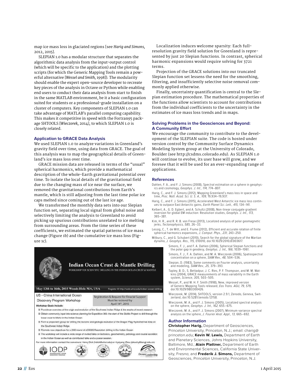map ice mass loss in glaciated regions [see *Harig and Simons,* 2012, 2015].

SLEPIAN 1.0 has a modular structure that separates the algorithmic data analysis from the input-output control (which will be specific to the application) and the plotting scripts (for which the Generic Mapping Tools remain a powerful alternative [*Wessel and Smith,* 1998]). The modularity should enable the expert open-source developer to recreate key pieces of the analysis in Octave or Python while enabling end users to conduct their data analysis from start to finish in the same MATLAB environment, be it a basic configuration suited for students or a professional- grade installation on a cluster of computers. Key components of SLEPIAN 1.0 can take advantage of MATLAB's parallel computing capability. This makes it competitive in speed with the Fortran95 package SHTOOLS [*Wieczorek,* 2014], to which SLEPIAN 1.0 is closely related.

#### **Application to GRACE Data Analysis**

We used SLEPIAN 1.0 to analyze variations in Greenland's gravity field over time, using data from GRACE. The goal of this analysis was to map the geographical details of Greenland's ice mass loss over time.

GRACE mission data are released in terms of the "usual" spherical harmonics, which provide a mathematical description of the whole-Earth gravitational potential over time. To isolate the local details of the gravitational field due to the changing mass of ice near the surface, we removed the gravitational contributions from Earth's mantle, which is still adjusting from the last time polar ice caps melted since coming out of the last ice age.

We transformed the monthly data sets into our Slepian function set, separating local signal from global noise and selectively limiting the analysis to Greenland to avoid picking up spurious contributions unrelated to ice melting from surrounding areas. From the time series of these coefficients, we estimated the spatial patterns of ice mass change (Figure 1b) and the cumulative ice mass loss (Figure 1c).



#### **Indian Ocean Crust & Mantle Drilling**

WORKSHOP FOR SCIENTIFIC DRILLING IN THE INDIAN OCEAN CRUST & MANTLE

Registration & Request for Finacial Support

Must be recieved by April 14th, 2015

#### May 13th to 16th, 2015 Woods Hole MA, USA Register @ http://web.whoi.edu/indian-ocean-drilling

US - China International Ocean Discovery Program Workshop

**Workshop Goals Include:** 

- 8 Provide an overview of the origin and evolution of the Southwest Indian Ridge & the results of recent research
- 2 Obtain community input into science planning for Expedition 360: the start of the SloMo Project to drill through the lower crust to Moho in the Indian Ocean
- 8 Form a proponent group for drilling the tectonic and geologic evolution of the Dragon Flag Hydrothermal Area on the Southwest Indian Ridge.
- 8 Promote new objectives for a 2ND round of JOIDES Resolution drilling in the Indian Ocean
- 8 The workshop will include a wide range of invited talks on tectonics, geochemistry, petrology and crustal accretion in the Indian Ocean as well as contributed talks and a poster session.

.<br>For more information contact the convenors: Henry Dick (hdick@whoi.edu) or Hyaiyang Zhou (zhouhy@tongji.edu.cn) (小大年起) Ocean<sub>Leadership</sub>

Localization induces welcome sparsity: Each fullresolution gravity field solution for Greenland is represented by just 20 Slepian functions. In contrast, spherical harmonic expansions would require solving for 3721 terms.

Projection of the GRACE solutions into our truncated Slepian function set lessens the need for the smoothing, filtering, and insufficiently selective noise removal commonly applied otherwise.

Finally, uncertainty quantification is central to the Slepian estimation procedure. The mathematical properties of the functions allow scientists to account for contributions from the individual coefficients to the uncertainty in the estimates of ice mass loss trends and in maps.

#### **Solving Problems in the Geosciences and Beyond: A Community Efort**

We encourage the community to contribute to the development of the SLEPIAN suite. The code is hosted under version control by the Community Surface Dynamics Modeling System group at the University of Colorado, Boulder (see http://csdms.colorado.edu). As SLEPIAN 1.0 will continue to evolve, its user base will grow, and we foresee that it will be used for an ever-expanding range of applications.

#### **References**

- Dahlen, F. A., and F. J. Simons (2008), Spectral estimation on a sphere in geophysics and cosmology, Geophys. J. Int., 174, 774–807.
- Harig, C., and F. J. Simons (2012), Mapping Greenland's mass loss in space and time, Proc. Natl. Acad. Sci. U. S. A., 109, 19,934–19,937.
- Harig, C., and F. J. Simons (2015), Accelerated West Antarctic ice mass loss continues to outpace East Antarctic gains, Earth Planet Sci. Lett., 415, 134–141.
- Kelbert, A., G. D. Egbert, and A. Schultz (2008), Non-linear conjugate gradient inversion for global EM induction: Resolution studies, Geophys. J. Int., 173, 365–381.
- Kim, H. R., and R. R. B. von Frese (2013), Localized analysis of polar geomagnetic jerks, Tectonophysics, 585, 26–33.
- Lessig, C., T. de Witt, and E. Fiume (2012), Efficient and accurate rotation of finite spherical harmonics expansions, J. Comput. Phys., 231, 243–250.
- Milbury, C., and G. Schubert (2010), Search for the global signature of the Martian dynamo, J. Geophys. Res., 115, E10010, doi:10.1029/2010JE003617.
	- Simons, F. J., and F. A. Dahlen (2006), Spherical Slepian functions and the polar gap in geodesy, Geophys. J. Int., 166, 1039–1061.
		- Simons, F. J., F. A. Dahlen, and M. A. Wieczorek (2006), Spatiospectral concentration on a sphere, SIAM Rev., 48, 504–536.
		- Slepian, D. (1983), Some comments on Fourier analysis, uncertainty and modeling, SIAM Rev., 25, 379–393.
		- Tapley, B. D., S. Bettadpur, J. C. Ries, P. F. Thompson, and M. M. Watkins (2004), GRACE measurements of mass variability in the Earth system, Science, 305, 503–505.
		- Wessel, P., and W. H. F. Smith (1998), New, improved version of Generic Mapping Tools released, Eos Trans. AGU, 79, 579, doi:10.1029/98EO00426.
		- Wieczorek, M. (2014), SHTOOLS, version 2.9.1, Zenodo, Geneva, Switzerland, doi:10.5281/zenodo.12158.
		- Wieczorek, M. A., and F. J. Simons (2005), Localized spectral analysis on the sphere, Geophys. J. Int., 162, 655–675.
		- Wieczorek, M. A., and F. J. Simons (2007), Minimum-variance spectral analysis on the sphere, J. Fourier Anal. Appl., 13, 665–692.

#### **Author Information**

**Christopher Harig,** Department of Geosciences, Princeton University, Princeton, N.J.; email: charig@ princeton.edu; **Kevin W. Lewis,** Department of Earth and Planetary Sciences, Johns Hopkins University, Baltimore, Md.; **Alain Plattner,** Department of Earth and Environmental Sciences, California State University, Fresno; and **Frederik J. Simons,** Department of Geosciences, Princeton University, Princeton, N.J.